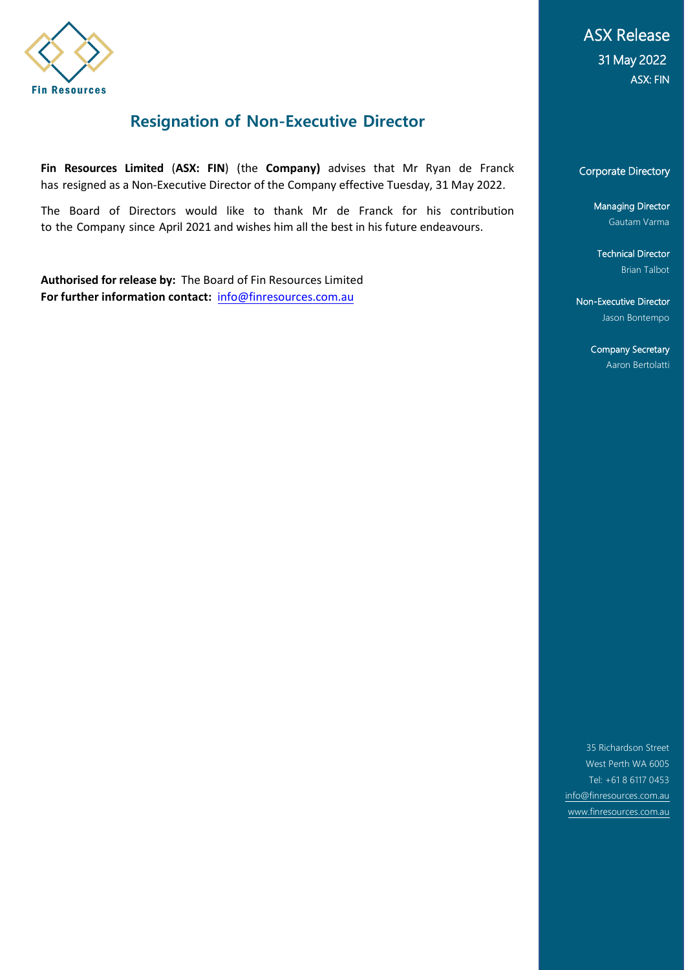

### **Resignation of Non-Executive Director**

**Fin Resources Limited** (**ASX: FIN**) (the **Company)** advises that Mr Ryan de Franck has resigned as a Non-Executive Director of the Company effective Tuesday, 31 May 2022.

The Board of Directors would like to thank Mr de Franck for his contribution to the Company since April 2021 and wishes him all the best in his future endeavours.

**Authorised for release by:** The Board of Fin Resources Limited **For further information contact:** [info@finresources.com.au](mailto:info@finresources.com.au)

ASX Release 31 May 2022 ASX: FIN

#### Corporate Directory

Managing Director Gautam Varma

Technical Director Brian Talbot

Non-Executive Director Jason Bontempo

> Company Secretary Aaron Bertolatti

35 Richardson Street West Perth WA 6005 Tel: +61 8 6117 0453 [info@finresources.com.au](mailto:info@finresources.com.au) [www.finresources.com.au](http://www.finresources.com.au/)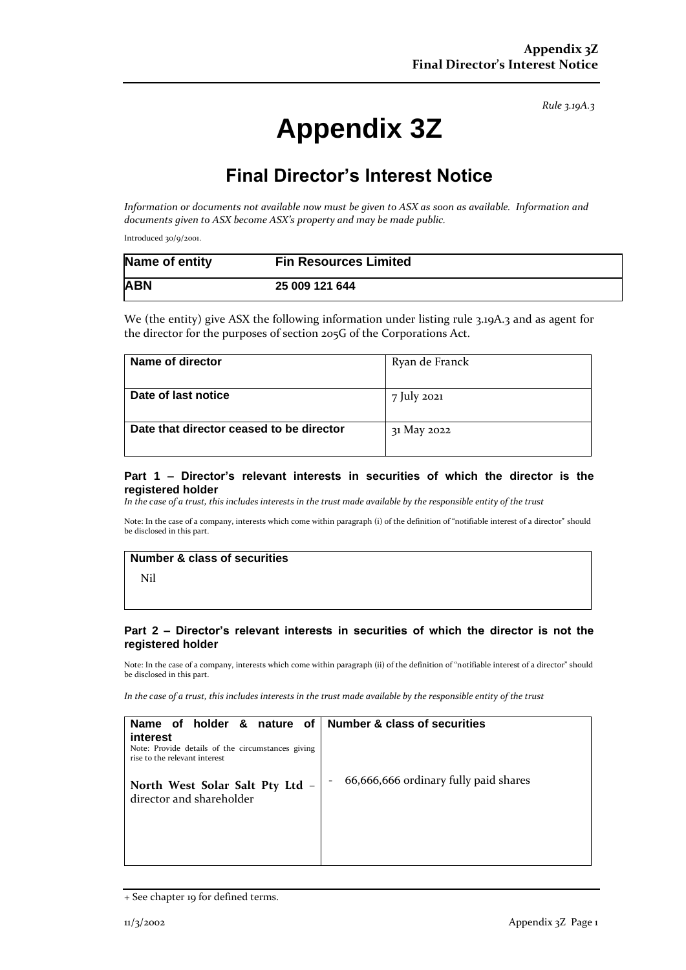*Rule 3.19A.3*

# **Appendix 3Z**

## **Final Director's Interest Notice**

*Information or documents not available now must be given to ASX as soon as available. Information and documents given to ASX become ASX's property and may be made public.*

Introduced 30/9/2001.

| Name of entity | <b>Fin Resources Limited</b> |
|----------------|------------------------------|
| <b>ABN</b>     | 25 009 121 644               |

We (the entity) give ASX the following information under listing rule 3.19A.3 and as agent for the director for the purposes of section 205G of the Corporations Act.

| Name of director                         | Ryan de Franck |
|------------------------------------------|----------------|
|                                          |                |
| Date of last notice                      | 7 July 2021    |
| Date that director ceased to be director | 31 May 2022    |
|                                          |                |
|                                          |                |

#### **Part 1 – Director's relevant interests in securities of which the director is the registered holder**

*In the case of a trust, this includes interests in the trust made available by the responsible entity of the trust*

Note: In the case of a company, interests which come within paragraph (i) of the definition of "notifiable interest of a director" should be disclosed in this part.

#### **Number & class of securities**

Nil

#### **Part 2 – Director's relevant interests in securities of which the director is not the registered holder**

Note: In the case of a company, interests which come within paragraph (ii) of the definition of "notifiable interest of a director" should be disclosed in this part.

*In the case of a trust, this includes interests in the trust made available by the responsible entity of the trust*

| holder<br>& nature of<br>Name of<br>interest<br>Note: Provide details of the circumstances giving<br>rise to the relevant interest | Number & class of securities          |
|------------------------------------------------------------------------------------------------------------------------------------|---------------------------------------|
| North West Solar Salt Pty Ltd -<br>director and shareholder                                                                        | 66,666,666 ordinary fully paid shares |

<sup>+</sup> See chapter 19 for defined terms.